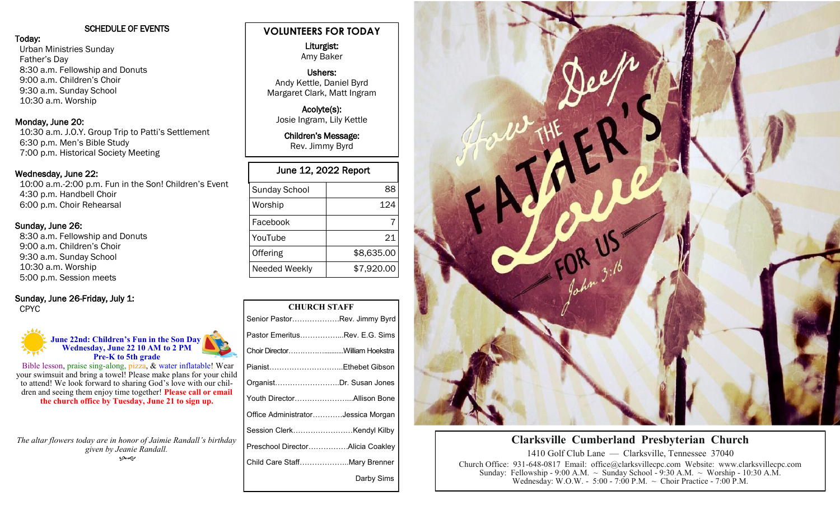## SCHEDULE OF EVENTS

Today: Urban Ministries Sunday Father's Day 8:30 a.m. Fellowship and Donuts 9:00 a.m. Children's Choir 9:30 a.m. Sunday School 10:30 a.m. Worship

## Monday, June 20:

 10:30 a.m. J.O.Y. Group Trip to Patti's Settlement 6:30 p.m. Men's Bible Study 7:00 p.m. Historical Society Meeting

## Wednesday, June 22:

 10:00 a.m.-2:00 p.m. Fun in the Son! Children's Event 4:30 p.m. Handbell Choir 6:00 p.m. Choir Rehearsal

## Sunday, June 26:

 8:30 a.m. Fellowship and Donuts 9:00 a.m. Children's Choir 9:30 a.m. Sunday School 10:30 a.m. Worship 5:00 p.m. Session meets

# Sunday, June 26-Friday, July 1:

CPYC



Bible lesson, praise sing-along, pizza, & water inflatable! Wear your swimsuit and bring a towel! Please make plans for your child to attend! We look forward to sharing God's love with our children and seeing them enjoy time together! **Please call or email the church office by Tuesday, June 21 to sign up.**

*The altar flowers today are in honor of Jaimie Randall's birthday given by Jeanie Randall.*  بهمو

## **VOLUNTEERS FOR TODAY**

 Liturgist: Amy Baker

## Ushers: Andy Kettle, Daniel Byrd Margaret Clark, Matt Ingram

Acolyte(s): Josie Ingram, Lily Kettle

Children's Message: Rev. Jimmy Byrd

| June 12, 2022 Report |            |  |
|----------------------|------------|--|
| <b>Sunday School</b> | 88         |  |
| Worship              | 124        |  |
| Facebook             |            |  |
| YouTube              | 21         |  |
| Offering             | \$8,635.00 |  |
| Needed Weekly        | \$7,920.00 |  |

| <b>CHURCH STAFF</b>                |            |  |
|------------------------------------|------------|--|
| Senior PastorRev. Jimmy Byrd       |            |  |
| Pastor EmeritusRev. E.G. Sims      |            |  |
| Choir DirectorWilliam Hoekstra     |            |  |
| PianistEthebet Gibson              |            |  |
| OrganistDr. Susan Jones            |            |  |
| Youth DirectorAllison Bone         |            |  |
| Office AdministratorJessica Morgan |            |  |
| Session ClerkKendyl Kilby          |            |  |
| Preschool DirectorAlicia Coakley   |            |  |
| Child Care StaffMary Brenner       |            |  |
|                                    | Darby Sims |  |



## **Clarksville Cumberland Presbyterian Church**

1410 Golf Club Lane — Clarksville, Tennessee 37040 Church Office: 931-648-0817 Email: office@clarksvillecpc.com Website: www.clarksvillecpc.com Sunday: Fellowship - 9:00 A.M.  $\sim$  Sunday School - 9:30 A.M.  $\sim$  Worship - 10:30 A.M. Wednesday: W.O.W. - 5:00 - 7:00 P.M. ~ Choir Practice - 7:00 P.M.